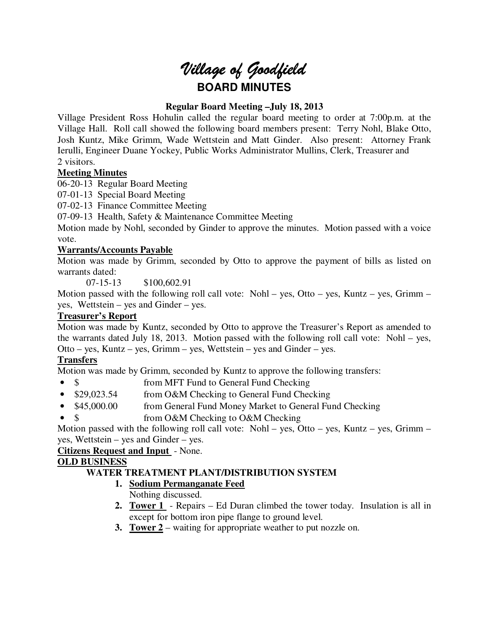# *Village of Goodfield* **BOARD MINUTES**

# **Regular Board Meeting –July 18, 2013**

Village President Ross Hohulin called the regular board meeting to order at 7:00p.m. at the Village Hall. Roll call showed the following board members present: Terry Nohl, Blake Otto, Josh Kuntz, Mike Grimm, Wade Wettstein and Matt Ginder. Also present: Attorney Frank Ierulli, Engineer Duane Yockey, Public Works Administrator Mullins, Clerk, Treasurer and 2 visitors.

# **Meeting Minutes**

06-20-13 Regular Board Meeting

07-01-13 Special Board Meeting

07-02-13 Finance Committee Meeting

07-09-13 Health, Safety & Maintenance Committee Meeting

Motion made by Nohl, seconded by Ginder to approve the minutes. Motion passed with a voice vote.

# **Warrants/Accounts Payable**

Motion was made by Grimm, seconded by Otto to approve the payment of bills as listed on warrants dated:

07-15-13 \$100,602.91

Motion passed with the following roll call vote: Nohl – yes, Otto – yes, Kuntz – yes, Grimm – yes, Wettstein – yes and Ginder – yes.

# **Treasurer's Report**

Motion was made by Kuntz, seconded by Otto to approve the Treasurer's Report as amended to the warrants dated July 18, 2013. Motion passed with the following roll call vote: Nohl – yes, Otto – yes, Kuntz – yes, Grimm – yes, Wettstein – yes and Ginder – yes.

# **Transfers**

Motion was made by Grimm, seconded by Kuntz to approve the following transfers:

- \$ from MFT Fund to General Fund Checking
- \$29,023.54 from O&M Checking to General Fund Checking
- \$45,000.00 from General Fund Money Market to General Fund Checking
- \$ from O&M Checking to O&M Checking

Motion passed with the following roll call vote: Nohl – yes, Otto – yes, Kuntz – yes, Grimm – yes, Wettstein – yes and Ginder – yes.

**Citizens Request and Input** - None.

## **OLD BUSINESS**

# **WATER TREATMENT PLANT/DISTRIBUTION SYSTEM**

- **1. Sodium Permanganate Feed** 
	- Nothing discussed.
- **2. Tower 1**  Repairs Ed Duran climbed the tower today. Insulation is all in except for bottom iron pipe flange to ground level.
- **3. Tower 2** waiting for appropriate weather to put nozzle on.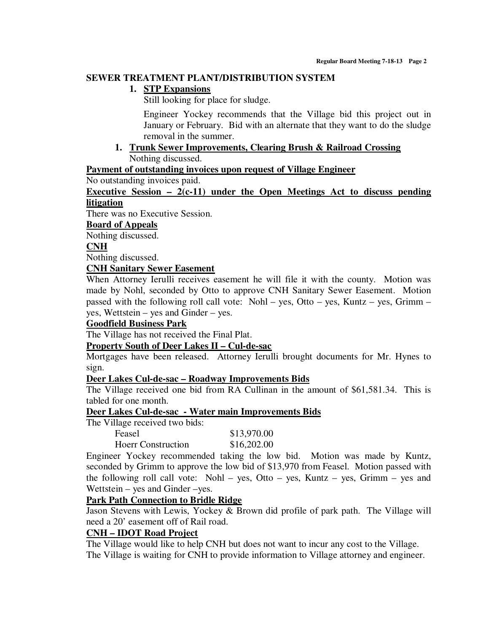#### **SEWER TREATMENT PLANT/DISTRIBUTION SYSTEM**

## **1. STP Expansions**

Still looking for place for sludge.

Engineer Yockey recommends that the Village bid this project out in January or February. Bid with an alternate that they want to do the sludge removal in the summer.

**1. Trunk Sewer Improvements, Clearing Brush & Railroad Crossing**  Nothing discussed.

**Payment of outstanding invoices upon request of Village Engineer** 

No outstanding invoices paid.

**Executive Session – 2(c-11) under the Open Meetings Act to discuss pending litigation** 

There was no Executive Session.

#### **Board of Appeals**

Nothing discussed.

#### **CNH**

Nothing discussed.

#### **CNH Sanitary Sewer Easement**

When Attorney Ierulli receives easement he will file it with the county. Motion was made by Nohl, seconded by Otto to approve CNH Sanitary Sewer Easement. Motion passed with the following roll call vote: Nohl – yes, Otto – yes, Kuntz – yes, Grimm – yes, Wettstein – yes and Ginder – yes.

#### **Goodfield Business Park**

The Village has not received the Final Plat.

#### **Property South of Deer Lakes II – Cul-de-sac**

Mortgages have been released. Attorney Ierulli brought documents for Mr. Hynes to sign.

#### **Deer Lakes Cul-de-sac – Roadway Improvements Bids**

The Village received one bid from RA Cullinan in the amount of \$61,581.34. This is tabled for one month.

#### **Deer Lakes Cul-de-sac - Water main Improvements Bids**

The Village received two bids:

| Feasel                    | \$13,970.00 |
|---------------------------|-------------|
| <b>Hoerr Construction</b> | \$16,202.00 |

Engineer Yockey recommended taking the low bid. Motion was made by Kuntz, seconded by Grimm to approve the low bid of \$13,970 from Feasel. Motion passed with the following roll call vote: Nohl – yes, Otto – yes, Kuntz – yes, Grimm – yes and Wettstein – yes and Ginder –yes.

#### **Park Path Connection to Bridle Ridge**

Jason Stevens with Lewis, Yockey & Brown did profile of park path. The Village will need a 20' easement off of Rail road.

#### **CNH – IDOT Road Project**

The Village would like to help CNH but does not want to incur any cost to the Village. The Village is waiting for CNH to provide information to Village attorney and engineer.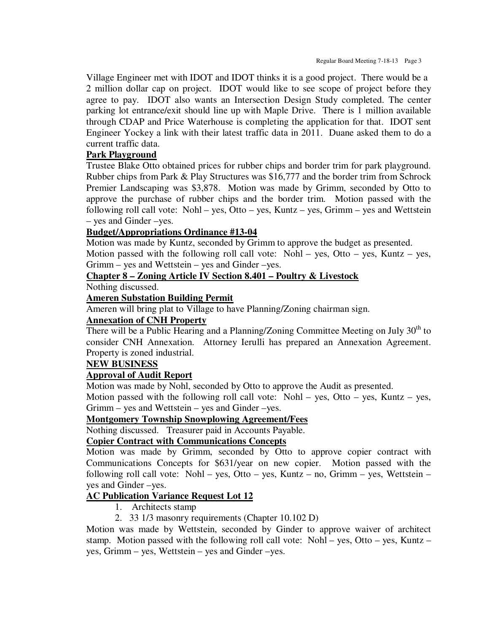Village Engineer met with IDOT and IDOT thinks it is a good project. There would be a 2 million dollar cap on project. IDOT would like to see scope of project before they agree to pay. IDOT also wants an Intersection Design Study completed. The center parking lot entrance/exit should line up with Maple Drive. There is 1 million available through CDAP and Price Waterhouse is completing the application for that. IDOT sent Engineer Yockey a link with their latest traffic data in 2011. Duane asked them to do a current traffic data.

## **Park Playground**

Trustee Blake Otto obtained prices for rubber chips and border trim for park playground. Rubber chips from Park & Play Structures was \$16,777 and the border trim from Schrock Premier Landscaping was \$3,878. Motion was made by Grimm, seconded by Otto to approve the purchase of rubber chips and the border trim. Motion passed with the following roll call vote: Nohl – yes, Otto – yes, Kuntz – yes, Grimm – yes and Wettstein – yes and Ginder –yes.

# **Budget/Appropriations Ordinance #13-04**

Motion was made by Kuntz, seconded by Grimm to approve the budget as presented.

Motion passed with the following roll call vote: Nohl – yes, Otto – yes, Kuntz – yes, Grimm – yes and Wettstein – yes and Ginder –yes.

# **Chapter 8 – Zoning Article IV Section 8.401 – Poultry & Livestock**

Nothing discussed.

## **Ameren Substation Building Permit**

Ameren will bring plat to Village to have Planning/Zoning chairman sign.

## **Annexation of CNH Property**

There will be a Public Hearing and a Planning/Zoning Committee Meeting on July  $30<sup>th</sup>$  to consider CNH Annexation. Attorney Ierulli has prepared an Annexation Agreement. Property is zoned industrial.

## **NEW BUSINESS**

## **Approval of Audit Report**

Motion was made by Nohl, seconded by Otto to approve the Audit as presented.

Motion passed with the following roll call vote: Nohl – yes, Otto – yes, Kuntz – yes, Grimm – yes and Wettstein – yes and Ginder –yes.

## **Montgomery Township Snowplowing Agreement/Fees**

Nothing discussed. Treasurer paid in Accounts Payable.

## **Copier Contract with Communications Concepts**

Motion was made by Grimm, seconded by Otto to approve copier contract with Communications Concepts for \$631/year on new copier. Motion passed with the following roll call vote: Nohl – yes, Otto – yes, Kuntz – no, Grimm – yes, Wettstein – yes and Ginder –yes.

# **AC Publication Variance Request Lot 12**

- 1. Architects stamp
- 2. 33 1/3 masonry requirements (Chapter 10.102 D)

Motion was made by Wettstein, seconded by Ginder to approve waiver of architect stamp. Motion passed with the following roll call vote: Nohl – yes, Otto – yes, Kuntz – yes, Grimm – yes, Wettstein – yes and Ginder –yes.